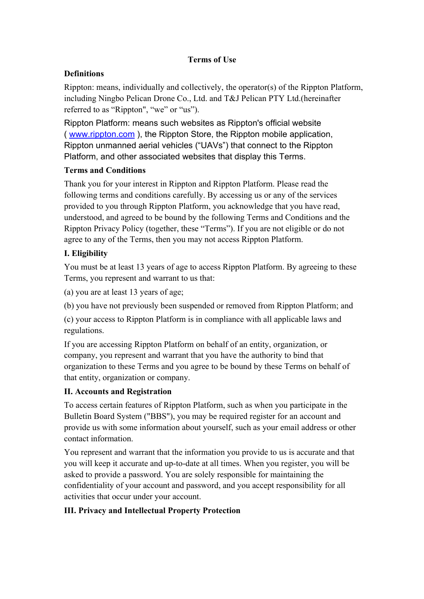#### **Terms** of Use

## **Definitions**

Rippton: means, individually and collectively, the operator(s) of the Rippton Platform, including Ningbo Pelican Drone Co., Ltd. and T&J Pelican PTY Ltd.(hereinafter referred to as "Rippton", "we" or "us").

Rippton Platform: means such websites as Rippton's official website ( [www.rippton.com](http://www.rippton.com/) ), the Rippton Store, the Rippton mobile application, Rippton unmanned aerial vehicles ("UAVs") that connect to the Rippton Platform, and other associated websites that display this Terms.

## **Terms and Conditions**

Thank you for your interest in Rippton and Rippton Platform. Please read the following terms and conditions carefully. By accessing us orany of the services provided to you through Rippton Platform, you acknowledge that you have read, understood, and agreed to be bound by the following Terms and Conditions and the Rippton Privacy Policy (together, these "Terms"). If you are not eligible or do not agree to any of the Terms, then you may not access Rippton Platform.

# **I. Eligibility**

You must be at least 13 years of age to access Rippton Platform. By agreeing to these Terms, you represent and warrant to us that:

(a) you are at least  $13$  years of age;

(b) you have not previously been suspended or removed from Rippton Platform; and

(c) your access to Rippton Platform is in compliance with all applicable laws and regulations.

If you are accessing Rippton Platform on behalf of an entity, organization, or company, you represent and warrant that you have the authority to bind that organization to these Terms and you agree to be bound by these Terms on behalf of that entity, organization or company.

## **II. Accounts and Registration**

To access certain features of Rippton Platform, such as when you participate in the Bulletin Board System ("BBS"), you may be required register for an account and provide us with some information about yourself, such as youremail address orother contact information.

You represent and warrant that the information you provide to us is accurate and that you will keep it accurate and up-to-date at all times. When you register, you will be asked to provide a password. You are solely responsible for maintaining the confidentiality of youraccount and password, and you accept responsibility for all activities that occur under your account.

## **III. Privacy and Intellectual Property Protection**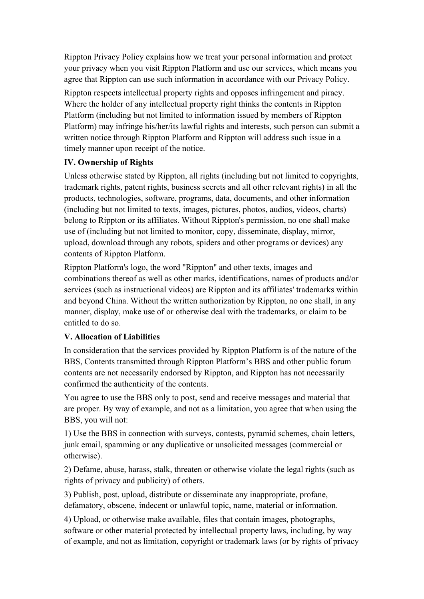Rippton Privacy Policy explains how we treat your personal information and protect your privacy when you visit Rippton Platform and use ourservices, which means you agree that Rippton can use such information in accordance with our Privacy Policy.

Rippton respects intellectual property rights and opposes infringement and piracy. Where the holder of any intellectual property right thinks the contents in Rippton Platform (including but not limited to information issued by members of Rippton Platform) may infringe his/her/its lawful rights and interests, such person can submit a written notice through Rippton Platform and Rippton will address such issue in a timely manner upon receipt of the notice.

## **IV. Ownership of Rights**

Unless otherwise stated by Rippton, all rights (including but not limited to copyrights, trademark rights, patent rights, business secrets and all other relevant rights) in all the products, technologies, software, programs, data, documents, and other information (including but not limited to texts, images, pictures, photos, audios, videos, charts) belong to Rippton or its affiliates. Without Rippton's permission, no one shall make use of (including but not limited to monitor, copy, disseminate, display, mirror, upload, download through any robots, spiders and other programs or devices) any contents of Rippton Platform.

Rippton Platform's logo, the word "Rippton" and other texts, images and combinations thereof as well as other marks, identifications, names of products and/or services (such as instructional videos) are Rippton and its affiliates' trademarks within and beyond China. Without the written authorization by Rippton, no one shall, in any manner, display, make use of or otherwise deal with the trademarks, or claim to be entitled to do so.

#### **V. Allocation of Liabilities**

In consideration that the services provided by Rippton Platform is of the nature of the BBS, Contents transmitted through Rippton Platform's BBS and other public forum contents are not necessarily endorsed by Rippton, and Rippton has not necessarily confirmed the authenticity of the contents.

You agree to use the BBS only to post, send and receive messages and material that are proper. By way of example, and not as a limitation, you agree that when using the BBS, you will not:

1) Use the BBS in connection with surveys, contests, pyramid schemes, chain letters, junk email, spamming or any duplicative or unsolicited messages (commercial or otherwise).

2) Defame, abuse, harass, stalk, threaten or otherwise violate the legal rights (such as rights of privacy and publicity) of others.

3) Publish, post, upload, distribute or disseminate any inappropriate, profane, defamatory, obscene, indecent or unlawful topic, name, material or information.

4) Upload, or otherwise make available, files that contain images, photographs, software or other material protected by intellectual property laws, including, by way of example, and not as limitation, copyright or trademark laws (or by rights of privacy